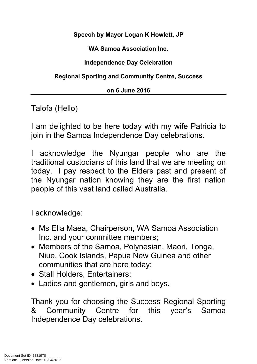**Speech by Mayor Logan K Howlett, JP**

**WA Samoa Association Inc.**

**Independence Day Celebration**

**Regional Sporting and Community Centre, Success**

## **on 6 June 2016**

Talofa (Hello)

I am delighted to be here today with my wife Patricia to join in the Samoa Independence Day celebrations.

acknowledge the Nyungar people who are the traditional custodians of this land that we are meeting on today. I pay respect to the Elders past and present of the Nyungar nation knowing they are the first nation people of this vast land called Australia.

I acknowledge:

- Ms Ella Maea, Chairperson, WA Samoa Association Inc. and your committee members;
- Members of the Samoa, Polynesian, Maori, Tonga, Niue, Cook Islands, Papua New Guinea and other communities that are here today;
- Stall Holders, Entertainers;
- Ladies and gentlemen, girls and boys.

Thank you for choosing the Success Regional Sporting & Community Centre for this year's Samoa Independence Day celebrations.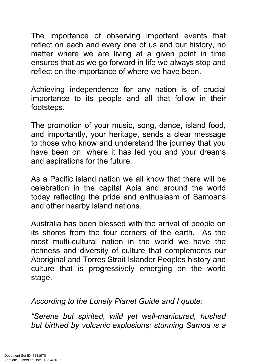The importance of observing important events that reflect on each and every one of us and our history, no matter where we are living at a given point in time ensures that as we go forward in life we always stop and reflect on the importance of where we have been.

Achieving independence for any nation is of crucial importance to its people and all that follow in their footsteps.

The promotion of your music, song, dance, island food, and importantly, your heritage, sends a clear message to those who know and understand the journey that you have been on, where it has led you and your dreams and aspirations for the future.

As a Pacific island nation we all know that there will be celebration in the capital Apia and around the world today reflecting the pride and enthusiasm of Samoans and other nearby island nations.

Australia has been blessed with the arrival of people on its shores from the four corners of the earth. As the most multi-cultural nation in the world we have the richness and diversity of culture that complements our Aboriginal and Torres Strait Islander Peoples history and culture that is progressively emerging on the world stage.

*According to the Lonely Planet Guide and I quote:*

*"Serene but spirited, wild yet well-manicured, hushed but birthed by volcanic explosions; stunning Samoa is a*